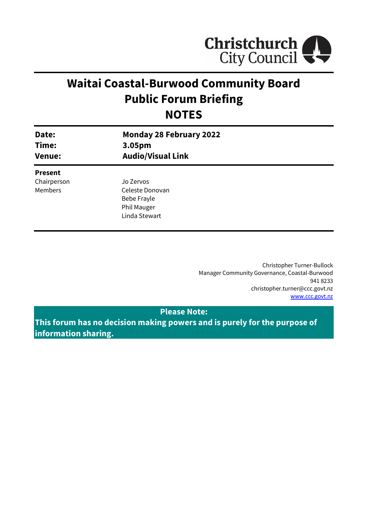

# **Waitai Coastal-Burwood Community Board Public Forum Briefing NOTES**

| Date:<br>Time:<br><b>Venue:</b> | <b>Monday 28 February 2022</b><br>3.05pm<br><b>Audio/Visual Link</b> |  |
|---------------------------------|----------------------------------------------------------------------|--|
| <b>Present</b>                  |                                                                      |  |
| Chairperson                     | Jo Zervos                                                            |  |
| <b>Members</b>                  | Celeste Donovan                                                      |  |
|                                 | Bebe Frayle                                                          |  |
|                                 | Phil Mauger                                                          |  |
|                                 | Linda Stewart                                                        |  |
|                                 |                                                                      |  |

Christopher Turner-Bullock Manager Community Governance, Coastal-Burwood 941 8233 christopher.turner@ccc.govt.nz [www.ccc.govt.nz](http://www.ccc.govt.nz/)

### **Please Note:**

**This forum has no decision making powers and is purely for the purpose of information sharing.**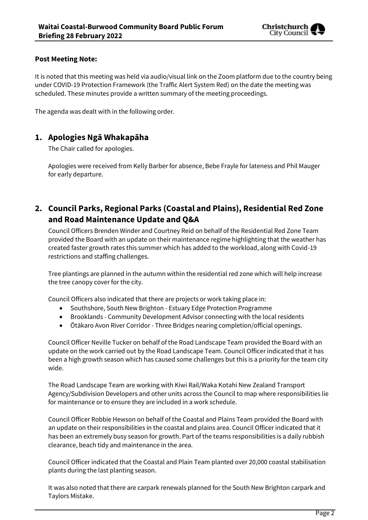

#### **Post Meeting Note:**

It is noted that this meeting was held via audio/visual link on the Zoom platform due to the country being under COVID-19 Protection Framework (the Traffic Alert System Red) on the date the meeting was scheduled. These minutes provide a written summary of the meeting proceedings.

The agenda was dealt with in the following order.

## **1. Apologies Ngā Whakapāha**

The Chair called for apologies.

Apologies were received from Kelly Barber for absence, Bebe Frayle for lateness and Phil Mauger for early departure.

# **2. Council Parks, Regional Parks (Coastal and Plains), Residential Red Zone and Road Maintenance Update and Q&A**

Council Officers Brenden Winder and Courtney Reid on behalf of the Residential Red Zone Team provided the Board with an update on their maintenance regime highlighting that the weather has created faster growth rates this summer which has added to the workload, along with Covid-19 restrictions and staffing challenges.

Tree plantings are planned in the autumn within the residential red zone which will help increase the tree canopy cover for the city.

Council Officers also indicated that there are projects or work taking place in:

- Southshore, South New Brighton Estuary Edge Protection Programme
- Brooklands Community Development Advisor connecting with the local residents
- Ōtākaro Avon River Corridor Three Bridges nearing completion/official openings.

Council Officer Neville Tucker on behalf of the Road Landscape Team provided the Board with an update on the work carried out by the Road Landscape Team. Council Officer indicated that it has been a high growth season which has caused some challenges but this is a priority for the team city wide.

The Road Landscape Team are working with Kiwi Rail/Waka Kotahi New Zealand Transport Agency/Subdivision Developers and other units across the Council to map where responsibilities lie for maintenance or to ensure they are included in a work schedule.

Council Officer Robbie Hewson on behalf of the Coastal and Plains Team provided the Board with an update on their responsibilities in the coastal and plains area. Council Officer indicated that it has been an extremely busy season for growth. Part of the teams responsibilities is a daily rubbish clearance, beach tidy and maintenance in the area.

Council Officer indicated that the Coastal and Plain Team planted over 20,000 coastal stabilisation plants during the last planting season.

It was also noted that there are carpark renewals planned for the South New Brighton carpark and Taylors Mistake.